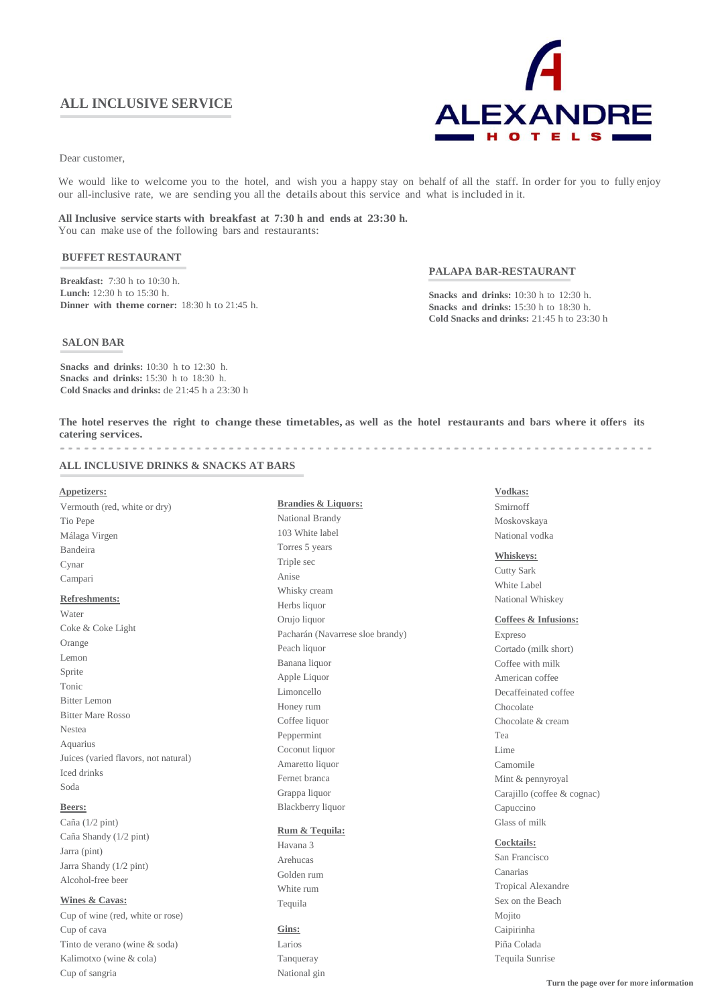# **ALL INCLUSIVE SERVICE**



Dear customer,

We would like to welcome you to the hotel, and wish you a happy stay on behalf of all the staff. In order for you to fully enjoy our all-inclusive rate, we are sending you all the details about this service and what is included in it.

### **All Inclusive service starts with breakfast at 7:30 h and ends at 23:30 h.** You can make use of the following bars and restaurants:

## **BUFFET RESTAURANT**

**Breakfast:** 7:30 h to 10:30 h. **Lunch:** 12:30 h to 15:30 h. **Dinner with theme corner:** 18:30 h to 21:45 h.

### **PALAPA BAR-RESTAURANT**

**Snacks and drinks:** 10:30 h to 12:30 h. **Snacks and drinks:** 15:30 h to 18:30 h. **Cold Snacks and drinks:** 21:45 h to 23:30 h

#### **SALON BAR**

**Snacks and drinks:** 10:30 h to 12:30 h. **Snacks and drinks:** 15:30 h to 18:30 h. **Cold Snacks and drinks:** de 21:45 h a 23:30 h

The hotel reserves the right to change these timetables, as well as the hotel restaurants and bars where it offers its **catering services.**

### **ALL INCLUSIVE DRINKS & SNACKS AT BARS**

#### **Appetizers:**

Vermouth (red, white or dry) Tio Pepe Málaga Virgen Bandeira Cynar Campari **Refreshments:** Water Coke & Coke Light Orange Lemon Sprite Tonic Bitter Lemon Bitter Mare Rosso Nestea Aquarius Juices (varied flavors, not natural) Iced drinks Soda

# **Beers:**

Caña (1/2 pint) Caña Shandy (1/2 pint) Jarra (pint) Jarra Shandy (1/2 pint) Alcohol-free beer

### **Wines & Cavas:**

Cup of wine (red, white or rose) Cup of cava Tinto de verano (wine & soda) Kalimotxo (wine & cola) Cup of sangria

**Brandies & Liquors:** National Brandy 103 White label Torres 5 years Triple sec Anise Whisky cream Herbs liquor Orujo liquor Pacharán (Navarrese sloe brandy) Peach liquor Banana liquor Apple Liquor Limoncello Honey rum Coffee liquor Peppermint Coconut liquor Amaretto liquor Fernet branca Grappa liquor Blackberry liquor

### **Rum & Tequila:**

Havana 3 Arehucas Golden rum White rum Tequila

## **Gins:**

Larios Tanqueray National gin

# **Vodkas:**

Smirnoff Moskovskaya National vodka

## **Whiskeys:**

Cutty Sark White Label National Whiskey

#### **Coffees & Infusions:**

Expreso Cortado (milk short) Coffee with milk American coffee Decaffeinated coffee Chocolate Chocolate & cream Tea Lime Camomile Mint & pennyroyal Carajillo (coffee & cognac) Capuccino Glass of milk

#### **Cocktails:**

San Francisco Canarias Tropical Alexandre Sex on the Beach Mojito Caipirinha Piña Colada Tequila Sunrise